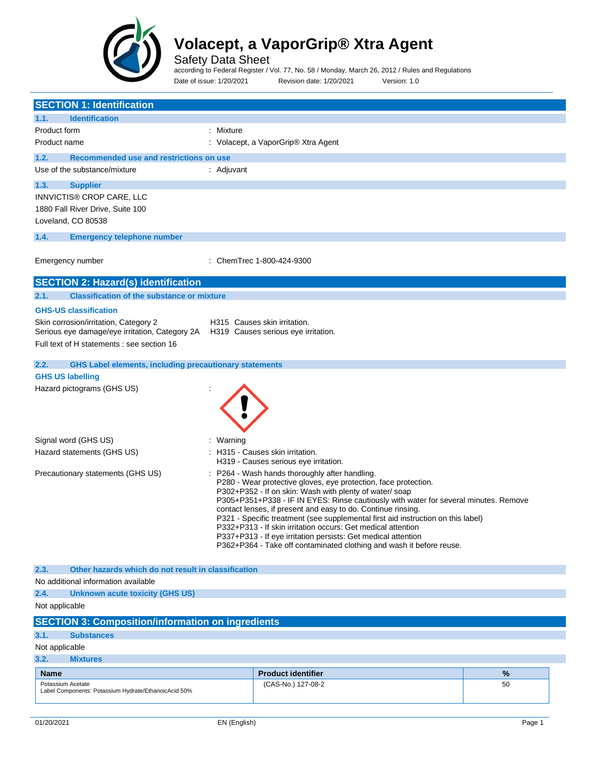

Safety Data Sheet

according to Federal Register / Vol. 77, No. 58 / Monday, March 26, 2012 / Rules and Regulations Date of issue: 1/20/2021 Revision date: 1/20/2021 Version: 1.0

| <b>SECTION 1: Identification</b>                                                                                            |                                                                                                                                                                                                                                                                                                                                                                                                                                                                                                                                                                                                                                |    |
|-----------------------------------------------------------------------------------------------------------------------------|--------------------------------------------------------------------------------------------------------------------------------------------------------------------------------------------------------------------------------------------------------------------------------------------------------------------------------------------------------------------------------------------------------------------------------------------------------------------------------------------------------------------------------------------------------------------------------------------------------------------------------|----|
| 1.1.<br><b>Identification</b>                                                                                               |                                                                                                                                                                                                                                                                                                                                                                                                                                                                                                                                                                                                                                |    |
| Product form                                                                                                                | : Mixture                                                                                                                                                                                                                                                                                                                                                                                                                                                                                                                                                                                                                      |    |
| Product name                                                                                                                | : Volacept, a VaporGrip® Xtra Agent                                                                                                                                                                                                                                                                                                                                                                                                                                                                                                                                                                                            |    |
| Recommended use and restrictions on use<br>1.2.                                                                             |                                                                                                                                                                                                                                                                                                                                                                                                                                                                                                                                                                                                                                |    |
| Use of the substance/mixture                                                                                                | : Adjuvant                                                                                                                                                                                                                                                                                                                                                                                                                                                                                                                                                                                                                     |    |
|                                                                                                                             |                                                                                                                                                                                                                                                                                                                                                                                                                                                                                                                                                                                                                                |    |
| 1.3.<br><b>Supplier</b>                                                                                                     |                                                                                                                                                                                                                                                                                                                                                                                                                                                                                                                                                                                                                                |    |
| INNVICTIS® CROP CARE, LLC<br>1880 Fall River Drive, Suite 100                                                               |                                                                                                                                                                                                                                                                                                                                                                                                                                                                                                                                                                                                                                |    |
| Loveland, CO 80538                                                                                                          |                                                                                                                                                                                                                                                                                                                                                                                                                                                                                                                                                                                                                                |    |
|                                                                                                                             |                                                                                                                                                                                                                                                                                                                                                                                                                                                                                                                                                                                                                                |    |
| 1.4.<br><b>Emergency telephone number</b>                                                                                   |                                                                                                                                                                                                                                                                                                                                                                                                                                                                                                                                                                                                                                |    |
| Emergency number                                                                                                            | : ChemTrec 1-800-424-9300                                                                                                                                                                                                                                                                                                                                                                                                                                                                                                                                                                                                      |    |
| <b>SECTION 2: Hazard(s) identification</b>                                                                                  |                                                                                                                                                                                                                                                                                                                                                                                                                                                                                                                                                                                                                                |    |
| <b>Classification of the substance or mixture</b><br>2.1.                                                                   |                                                                                                                                                                                                                                                                                                                                                                                                                                                                                                                                                                                                                                |    |
| <b>GHS-US classification</b>                                                                                                |                                                                                                                                                                                                                                                                                                                                                                                                                                                                                                                                                                                                                                |    |
| Skin corrosion/irritation, Category 2<br>Serious eye damage/eye irritation, Category 2A H319 Causes serious eye irritation. | H315 Causes skin irritation.                                                                                                                                                                                                                                                                                                                                                                                                                                                                                                                                                                                                   |    |
| Full text of H statements : see section 16                                                                                  |                                                                                                                                                                                                                                                                                                                                                                                                                                                                                                                                                                                                                                |    |
| 2.2.<br><b>GHS Label elements, including precautionary statements</b>                                                       |                                                                                                                                                                                                                                                                                                                                                                                                                                                                                                                                                                                                                                |    |
| <b>GHS US labelling</b>                                                                                                     |                                                                                                                                                                                                                                                                                                                                                                                                                                                                                                                                                                                                                                |    |
| Hazard pictograms (GHS US)                                                                                                  |                                                                                                                                                                                                                                                                                                                                                                                                                                                                                                                                                                                                                                |    |
| Signal word (GHS US)                                                                                                        | Warning                                                                                                                                                                                                                                                                                                                                                                                                                                                                                                                                                                                                                        |    |
| Hazard statements (GHS US)                                                                                                  | H315 - Causes skin irritation.<br>H319 - Causes serious eye irritation.                                                                                                                                                                                                                                                                                                                                                                                                                                                                                                                                                        |    |
| Precautionary statements (GHS US)                                                                                           | P264 - Wash hands thoroughly after handling.<br>P280 - Wear protective gloves, eye protection, face protection.<br>P302+P352 - If on skin: Wash with plenty of water/soap<br>P305+P351+P338 - IF IN EYES: Rinse cautiously with water for several minutes. Remove<br>contact lenses, if present and easy to do. Continue rinsing.<br>P321 - Specific treatment (see supplemental first aid instruction on this label)<br>P332+P313 - If skin irritation occurs: Get medical attention<br>P337+P313 - If eye irritation persists: Get medical attention<br>P362+P364 - Take off contaminated clothing and wash it before reuse. |    |
| Other hazards which do not result in classification<br>2.3.                                                                 |                                                                                                                                                                                                                                                                                                                                                                                                                                                                                                                                                                                                                                |    |
| No additional information available                                                                                         |                                                                                                                                                                                                                                                                                                                                                                                                                                                                                                                                                                                                                                |    |
| 2.4.<br><b>Unknown acute toxicity (GHS US)</b>                                                                              |                                                                                                                                                                                                                                                                                                                                                                                                                                                                                                                                                                                                                                |    |
| Not applicable                                                                                                              |                                                                                                                                                                                                                                                                                                                                                                                                                                                                                                                                                                                                                                |    |
| <b>SECTION 3: Composition/information on ingredients</b>                                                                    |                                                                                                                                                                                                                                                                                                                                                                                                                                                                                                                                                                                                                                |    |
| 3.1.<br><b>Substances</b>                                                                                                   |                                                                                                                                                                                                                                                                                                                                                                                                                                                                                                                                                                                                                                |    |
| Not applicable                                                                                                              |                                                                                                                                                                                                                                                                                                                                                                                                                                                                                                                                                                                                                                |    |
| 3.2.<br><b>Mixtures</b>                                                                                                     |                                                                                                                                                                                                                                                                                                                                                                                                                                                                                                                                                                                                                                |    |
| <b>Name</b>                                                                                                                 | <b>Product identifier</b>                                                                                                                                                                                                                                                                                                                                                                                                                                                                                                                                                                                                      | %  |
| Potassium Acetate                                                                                                           | (CAS-No.) 127-08-2                                                                                                                                                                                                                                                                                                                                                                                                                                                                                                                                                                                                             | 50 |
| Label Components: Potassium Hydrate/EthanoicAcid 50%                                                                        |                                                                                                                                                                                                                                                                                                                                                                                                                                                                                                                                                                                                                                |    |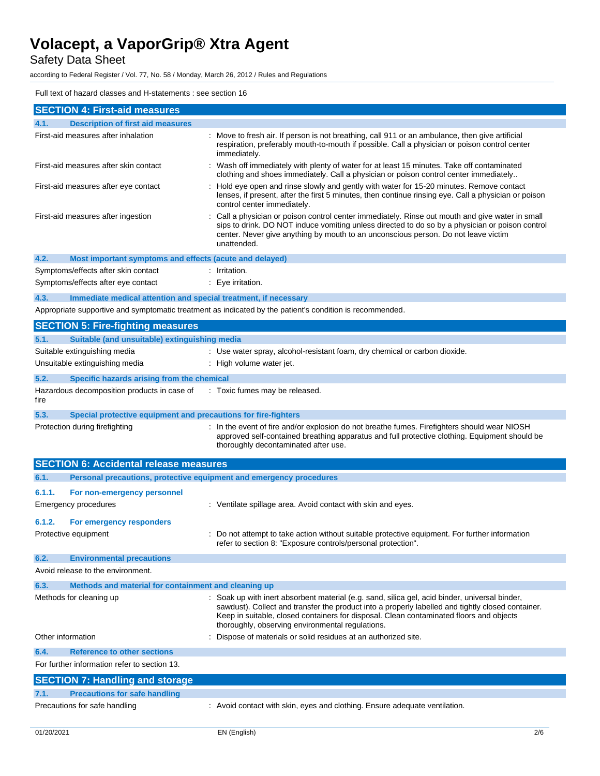Safety Data Sheet

according to Federal Register / Vol. 77, No. 58 / Monday, March 26, 2012 / Rules and Regulations

### Full text of hazard classes and H-statements : see section 16

| <b>SECTION 4: First-aid measures</b>                                        |                                                                                                                                                                                                                                                                                                                                                    |  |
|-----------------------------------------------------------------------------|----------------------------------------------------------------------------------------------------------------------------------------------------------------------------------------------------------------------------------------------------------------------------------------------------------------------------------------------------|--|
| <b>Description of first aid measures</b><br>4.1.                            |                                                                                                                                                                                                                                                                                                                                                    |  |
| First-aid measures after inhalation                                         | : Move to fresh air. If person is not breathing, call 911 or an ambulance, then give artificial<br>respiration, preferably mouth-to-mouth if possible. Call a physician or poison control center<br>immediately.                                                                                                                                   |  |
| First-aid measures after skin contact                                       | : Wash off immediately with plenty of water for at least 15 minutes. Take off contaminated<br>clothing and shoes immediately. Call a physician or poison control center immediately                                                                                                                                                                |  |
| First-aid measures after eye contact                                        | Hold eye open and rinse slowly and gently with water for 15-20 minutes. Remove contact<br>lenses, if present, after the first 5 minutes, then continue rinsing eye. Call a physician or poison<br>control center immediately.                                                                                                                      |  |
| First-aid measures after ingestion                                          | Call a physician or poison control center immediately. Rinse out mouth and give water in small<br>sips to drink. DO NOT induce vomiting unless directed to do so by a physician or poison control<br>center. Never give anything by mouth to an unconscious person. Do not leave victim<br>unattended.                                             |  |
| 4.2.<br>Most important symptoms and effects (acute and delayed)             |                                                                                                                                                                                                                                                                                                                                                    |  |
| Symptoms/effects after skin contact                                         | : Irritation.                                                                                                                                                                                                                                                                                                                                      |  |
| Symptoms/effects after eye contact                                          | $: Eye$ irritation.                                                                                                                                                                                                                                                                                                                                |  |
| Immediate medical attention and special treatment, if necessary<br>4.3.     |                                                                                                                                                                                                                                                                                                                                                    |  |
|                                                                             | Appropriate supportive and symptomatic treatment as indicated by the patient's condition is recommended.                                                                                                                                                                                                                                           |  |
|                                                                             |                                                                                                                                                                                                                                                                                                                                                    |  |
| <b>SECTION 5: Fire-fighting measures</b>                                    |                                                                                                                                                                                                                                                                                                                                                    |  |
| Suitable (and unsuitable) extinguishing media<br>5.1.                       |                                                                                                                                                                                                                                                                                                                                                    |  |
| Suitable extinguishing media                                                | : Use water spray, alcohol-resistant foam, dry chemical or carbon dioxide.                                                                                                                                                                                                                                                                         |  |
| Unsuitable extinguishing media                                              | : High volume water jet.                                                                                                                                                                                                                                                                                                                           |  |
| 5.2.<br>Specific hazards arising from the chemical                          |                                                                                                                                                                                                                                                                                                                                                    |  |
| Hazardous decomposition products in case of<br>fire                         | : Toxic fumes may be released.                                                                                                                                                                                                                                                                                                                     |  |
| 5.3.<br>Special protective equipment and precautions for fire-fighters      |                                                                                                                                                                                                                                                                                                                                                    |  |
| Protection during firefighting                                              | : In the event of fire and/or explosion do not breathe fumes. Firefighters should wear NIOSH<br>approved self-contained breathing apparatus and full protective clothing. Equipment should be<br>thoroughly decontaminated after use.                                                                                                              |  |
| <b>SECTION 6: Accidental release measures</b>                               |                                                                                                                                                                                                                                                                                                                                                    |  |
| 6.1.<br>Personal precautions, protective equipment and emergency procedures |                                                                                                                                                                                                                                                                                                                                                    |  |
| 6.1.1.<br>For non-emergency personnel                                       |                                                                                                                                                                                                                                                                                                                                                    |  |
| Emergency procedures                                                        | : Ventilate spillage area. Avoid contact with skin and eyes.                                                                                                                                                                                                                                                                                       |  |
|                                                                             |                                                                                                                                                                                                                                                                                                                                                    |  |
| 6.1.2.<br>For emergency responders                                          |                                                                                                                                                                                                                                                                                                                                                    |  |
| Protective equipment                                                        | : Do not attempt to take action without suitable protective equipment. For further information<br>refer to section 8: "Exposure controls/personal protection".                                                                                                                                                                                     |  |
| 6.2.<br><b>Environmental precautions</b>                                    |                                                                                                                                                                                                                                                                                                                                                    |  |
| Avoid release to the environment.                                           |                                                                                                                                                                                                                                                                                                                                                    |  |
| 6.3.<br>Methods and material for containment and cleaning up                |                                                                                                                                                                                                                                                                                                                                                    |  |
| Methods for cleaning up                                                     | : Soak up with inert absorbent material (e.g. sand, silica gel, acid binder, universal binder,<br>sawdust). Collect and transfer the product into a properly labelled and tightly closed container.<br>Keep in suitable, closed containers for disposal. Clean contaminated floors and objects<br>thoroughly, observing environmental regulations. |  |
| Other information                                                           | Dispose of materials or solid residues at an authorized site.                                                                                                                                                                                                                                                                                      |  |
| <b>Reference to other sections</b><br>6.4.                                  |                                                                                                                                                                                                                                                                                                                                                    |  |
| For further information refer to section 13.                                |                                                                                                                                                                                                                                                                                                                                                    |  |
| <b>SECTION 7: Handling and storage</b>                                      |                                                                                                                                                                                                                                                                                                                                                    |  |
| <b>Precautions for safe handling</b><br>7.1.                                |                                                                                                                                                                                                                                                                                                                                                    |  |
| Precautions for safe handling                                               | : Avoid contact with skin, eyes and clothing. Ensure adequate ventilation.                                                                                                                                                                                                                                                                         |  |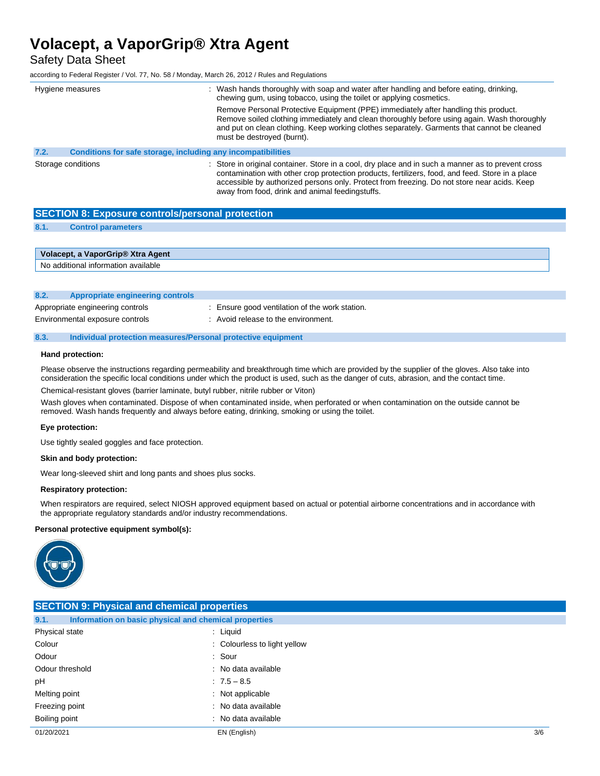Safety Data Sheet

according to Federal Register / Vol. 77, No. 58 / Monday, March 26, 2012 / Rules and Regulations

| Hygiene measures                                                     | : Wash hands thoroughly with soap and water after handling and before eating, drinking,<br>chewing gum, using tobacco, using the toilet or applying cosmetics.                                                                                                                                                                                           |
|----------------------------------------------------------------------|----------------------------------------------------------------------------------------------------------------------------------------------------------------------------------------------------------------------------------------------------------------------------------------------------------------------------------------------------------|
|                                                                      | Remove Personal Protective Equipment (PPE) immediately after handling this product.<br>Remove soiled clothing immediately and clean thoroughly before using again. Wash thoroughly<br>and put on clean clothing. Keep working clothes separately. Garments that cannot be cleaned<br>must be destroyed (burnt).                                          |
| 7.2.<br>Conditions for safe storage, including any incompatibilities |                                                                                                                                                                                                                                                                                                                                                          |
| Storage conditions                                                   | : Store in original container. Store in a cool, dry place and in such a manner as to prevent cross<br>contamination with other crop protection products, fertilizers, food, and feed. Store in a place<br>accessible by authorized persons only. Protect from freezing. Do not store near acids. Keep<br>away from food, drink and animal feedingstuffs. |

| <b>SECTION 8: Exposure controls/personal protection</b> |                                     |  |
|---------------------------------------------------------|-------------------------------------|--|
| 8.1.                                                    | <b>Control parameters</b>           |  |
|                                                         |                                     |  |
|                                                         | Volacept, a VaporGrip® Xtra Agent   |  |
|                                                         | No additional information available |  |

|      | TWO QUULIUTIQI IITUTTIQIUTI QVQIIQDIG |                                              |  |
|------|---------------------------------------|----------------------------------------------|--|
|      |                                       |                                              |  |
|      |                                       |                                              |  |
| 8.2. | Appropriate engineering controls      |                                              |  |
|      |                                       |                                              |  |
|      | Appropriate engineering controls      | Ensure good ventilation of the work station. |  |

| Appropriate engineering controis |  |
|----------------------------------|--|
| Environmental exposure controls  |  |

: Avoid release to the environment.

#### **8.3. Individual protection measures/Personal protective equipment**

### **Hand protection:**

Please observe the instructions regarding permeability and breakthrough time which are provided by the supplier of the gloves. Also take into consideration the specific local conditions under which the product is used, such as the danger of cuts, abrasion, and the contact time.

Chemical-resistant gloves (barrier laminate, butyl rubber, nitrile rubber or Viton)

Wash gloves when contaminated. Dispose of when contaminated inside, when perforated or when contamination on the outside cannot be removed. Wash hands frequently and always before eating, drinking, smoking or using the toilet.

#### **Eye protection:**

Use tightly sealed goggles and face protection.

#### **Skin and body protection:**

Wear long-sleeved shirt and long pants and shoes plus socks.

#### **Respiratory protection:**

When respirators are required, select NIOSH approved equipment based on actual or potential airborne concentrations and in accordance with the appropriate regulatory standards and/or industry recommendations.

#### **Personal protective equipment symbol(s):**



| <b>SECTION 9: Physical and chemical properties</b>            |                              |     |  |
|---------------------------------------------------------------|------------------------------|-----|--|
| Information on basic physical and chemical properties<br>9.1. |                              |     |  |
| Physical state                                                | : Liquid                     |     |  |
| Colour                                                        | : Colourless to light yellow |     |  |
| Odour                                                         | : Sour                       |     |  |
| Odour threshold                                               | : No data available          |     |  |
| рH                                                            | $7.5 - 8.5$                  |     |  |
| Melting point                                                 | : Not applicable             |     |  |
| Freezing point                                                | : No data available          |     |  |
| Boiling point                                                 | : No data available          |     |  |
| 01/20/2021                                                    | EN (English)                 | 3/6 |  |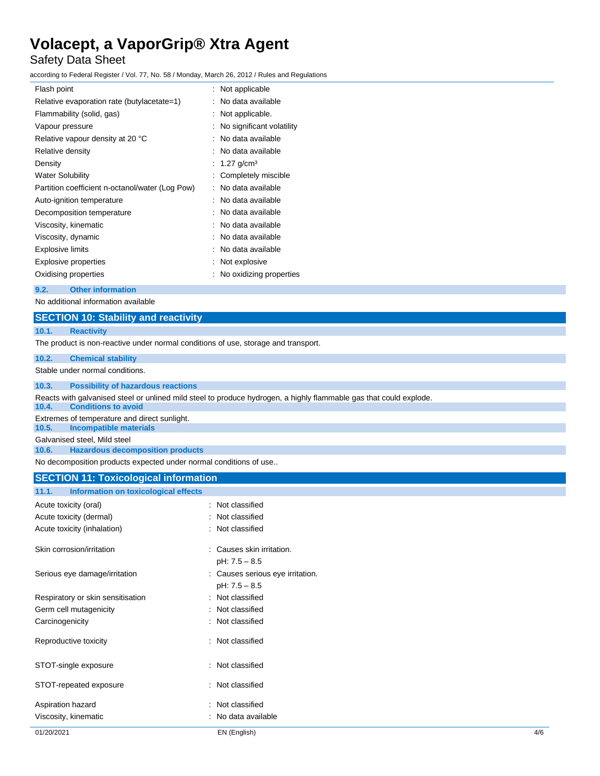# Safety Data Sheet

according to Federal Register / Vol. 77, No. 58 / Monday, March 26, 2012 / Rules and Regulations

| Flash point                                     | : Not applicable            |
|-------------------------------------------------|-----------------------------|
| Relative evaporation rate (butylacetate=1)      | : No data available         |
| Flammability (solid, gas)                       | : Not applicable.           |
| Vapour pressure                                 | : No significant volatility |
| Relative vapour density at 20 °C                | : No data available         |
| Relative density                                | : No data available         |
| Density                                         | : 1.27 g/cm <sup>3</sup>    |
| <b>Water Solubility</b>                         | : Completely miscible       |
| Partition coefficient n-octanol/water (Log Pow) | : No data available         |
| Auto-ignition temperature                       | : No data available         |
| Decomposition temperature                       | : No data available         |
| Viscosity, kinematic                            | : No data available         |
| Viscosity, dynamic                              | : No data available         |
| Explosive limits                                | : No data available         |
| Explosive properties                            | : Not explosive             |
| Oxidising properties                            | : No oxidizing properties   |
|                                                 |                             |

**9.2. Other information**

| No additional information available                                                |                                                                                                                    |  |  |
|------------------------------------------------------------------------------------|--------------------------------------------------------------------------------------------------------------------|--|--|
|                                                                                    | <b>SECTION 10: Stability and reactivity</b>                                                                        |  |  |
| 10.1.                                                                              | <b>Reactivity</b>                                                                                                  |  |  |
| The product is non-reactive under normal conditions of use, storage and transport. |                                                                                                                    |  |  |
| 10.2.                                                                              | <b>Chemical stability</b>                                                                                          |  |  |
| Stable under normal conditions.                                                    |                                                                                                                    |  |  |
| 10.3.                                                                              | <b>Possibility of hazardous reactions</b>                                                                          |  |  |
|                                                                                    | Reacts with galvanised steel or unlined mild steel to produce hydrogen, a highly flammable gas that could explode. |  |  |
| 10.4.                                                                              | <b>Conditions to avoid</b>                                                                                         |  |  |
| Extremes of temperature and direct sunlight.                                       |                                                                                                                    |  |  |
| 10.5.                                                                              | <b>Incompatible materials</b>                                                                                      |  |  |
| Galvanised steel, Mild steel                                                       |                                                                                                                    |  |  |
| 10.6.                                                                              | <b>Hazardous decomposition products</b>                                                                            |  |  |
| No decomposition products expected under normal conditions of use                  |                                                                                                                    |  |  |

# **SECTION 11: Toxicological information**

# **11.1. Information on toxicological effects**

| Acute toxicity (oral)<br>Acute toxicity (dermal)<br>Acute toxicity (inhalation) | $\therefore$ Not classified<br>Not classified<br>: Not classified |
|---------------------------------------------------------------------------------|-------------------------------------------------------------------|
| Skin corrosion/irritation                                                       | : Causes skin irritation.<br>pH: 7.5 - 8.5                        |
| Serious eye damage/irritation                                                   | : Causes serious eye irritation.<br>pH: 7.5 - 8.5                 |
| Respiratory or skin sensitisation                                               | : Not classified                                                  |
| Germ cell mutagenicity                                                          | Not classified                                                    |
| Carcinogenicity                                                                 | : Not classified                                                  |
| Reproductive toxicity                                                           | $\therefore$ Not classified                                       |
| STOT-single exposure                                                            | : Not classified                                                  |
| STOT-repeated exposure                                                          | $\therefore$ Not classified                                       |
| Aspiration hazard<br>Viscosity, kinematic                                       | Not classified<br>No data available                               |
|                                                                                 |                                                                   |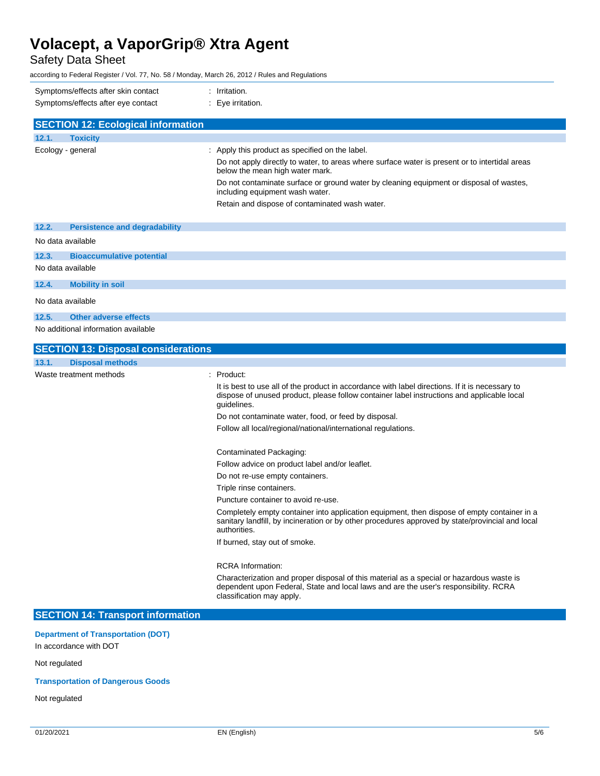Safety Data Sheet

according to Federal Register / Vol. 77, No. 58 / Monday, March 26, 2012 / Rules and Regulations

| Symptoms/effects after skin contact<br>Symptoms/effects after eye contact | : Irritation.<br>: Eye irritation.                                                                                                |
|---------------------------------------------------------------------------|-----------------------------------------------------------------------------------------------------------------------------------|
| <b>SECTION 12: Ecological information</b>                                 |                                                                                                                                   |
| <b>Toxicity</b><br>12.1.                                                  |                                                                                                                                   |
| Ecology - general                                                         | : Apply this product as specified on the label.                                                                                   |
|                                                                           | Do not apply directly to water, to areas where surface water is present or to intertidal areas<br>below the mean high water mark. |
|                                                                           | Do not contaminate surface or ground water by cleaning equipment or disposal of wastes,<br>including equipment wash water.        |
|                                                                           | Retain and dispose of contaminated wash water.                                                                                    |
| 12.2.<br><b>Persistence and degradability</b>                             |                                                                                                                                   |
| No data available                                                         |                                                                                                                                   |
| 12.3.<br><b>Bioaccumulative potential</b>                                 |                                                                                                                                   |
| No data available                                                         |                                                                                                                                   |
| <b>Mobility in soil</b><br>12.4.                                          |                                                                                                                                   |

No data available

# **12.5. Other adverse effects**

No additional information available

| <b>SECTION 13: Disposal considerations</b> |                                                                                                                                                                                                                 |
|--------------------------------------------|-----------------------------------------------------------------------------------------------------------------------------------------------------------------------------------------------------------------|
| <b>Disposal methods</b><br>13.1.           |                                                                                                                                                                                                                 |
| Waste treatment methods                    | $:$ Product:                                                                                                                                                                                                    |
|                                            | It is best to use all of the product in accordance with label directions. If it is necessary to<br>dispose of unused product, please follow container label instructions and applicable local<br>quidelines.    |
|                                            | Do not contaminate water, food, or feed by disposal.                                                                                                                                                            |
|                                            | Follow all local/regional/national/international regulations.                                                                                                                                                   |
|                                            | Contaminated Packaging:                                                                                                                                                                                         |
|                                            | Follow advice on product label and/or leaflet.                                                                                                                                                                  |
|                                            | Do not re-use empty containers.                                                                                                                                                                                 |
|                                            | Triple rinse containers.                                                                                                                                                                                        |
|                                            | Puncture container to avoid re-use.                                                                                                                                                                             |
|                                            | Completely empty container into application equipment, then dispose of empty container in a<br>sanitary landfill, by incineration or by other procedures approved by state/provincial and local<br>authorities. |
|                                            | If burned, stay out of smoke.                                                                                                                                                                                   |
|                                            | <b>RCRA</b> Information:                                                                                                                                                                                        |
|                                            | Characterization and proper disposal of this material as a special or hazardous waste is<br>dependent upon Federal, State and local laws and are the user's responsibility. RCRA<br>classification may apply.   |
| <b>SECTION 14: Transport information</b>   |                                                                                                                                                                                                                 |

# **Department of Transportation (DOT)**

In accordance with DOT

# Not regulated

# **Transportation of Dangerous Goods**

Not regulated